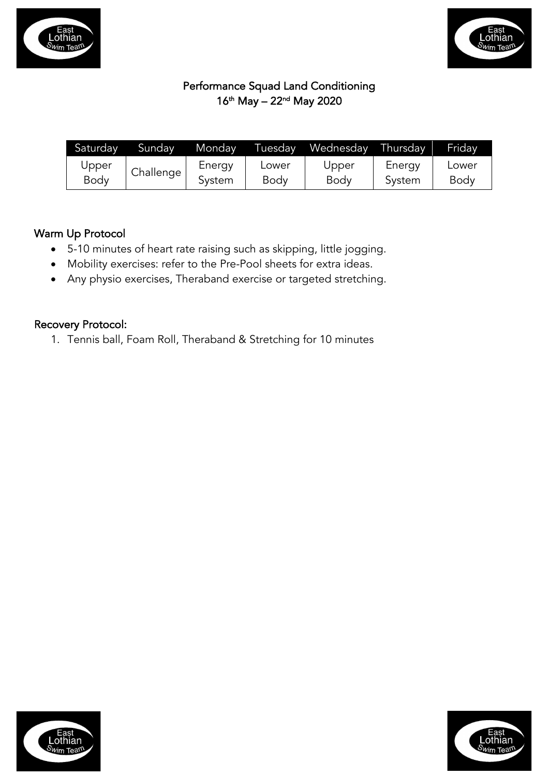



# Performance Squad Land Conditioning 16th May – 22nd May 2020

| Saturday | Sundav    | Monday | Tuesdav | Wednesday | Thursday | Fridav      |
|----------|-----------|--------|---------|-----------|----------|-------------|
| Upper    | Challenge | Energy | Lower   | Upper     | Energy   | Lower       |
| Body     |           | Svstem | Body    | Body      | System   | <b>Body</b> |

## Warm Up Protocol

- 5-10 minutes of heart rate raising such as skipping, little jogging.
- Mobility exercises: refer to the Pre-Pool sheets for extra ideas.
- Any physio exercises, Theraband exercise or targeted stretching.

### Recovery Protocol:

1. Tennis ball, Foam Roll, Theraband & Stretching for 10 minutes



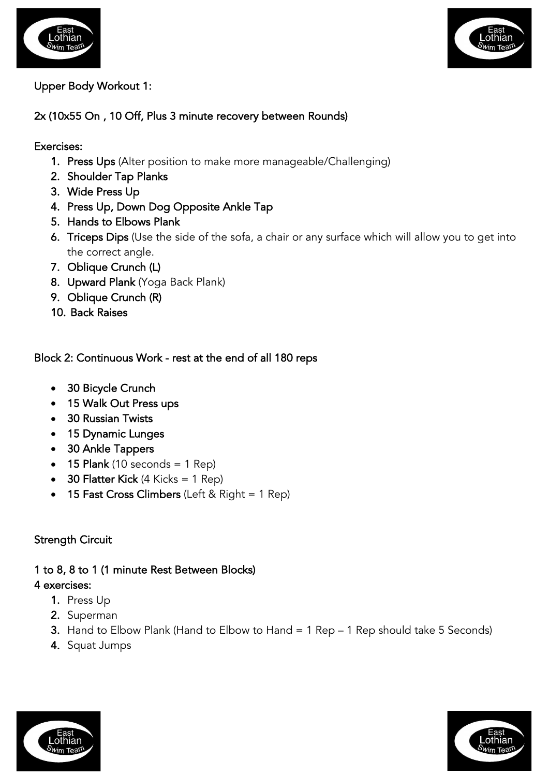



### Upper Body Workout 1:

### 2x (10x55 On , 10 Off, Plus 3 minute recovery between Rounds)

### Exercises:

- 1. Press Ups (Alter position to make more manageable/Challenging)
- 2. Shoulder Tap Planks
- 3. Wide Press Up
- 4. Press Up, Down Dog Opposite Ankle Tap
- 5. Hands to Elbows Plank
- 6. Triceps Dips (Use the side of the sofa, a chair or any surface which will allow you to get into the correct angle.
- 7. Oblique Crunch (L)
- 8. Upward Plank (Yoga Back Plank)
- 9. Oblique Crunch (R)
- 10. Back Raises

## Block 2: Continuous Work - rest at the end of all 180 reps

- 30 Bicycle Crunch
- 15 Walk Out Press ups
- 30 Russian Twists
- 15 Dynamic Lunges
- 30 Ankle Tappers
- $\bullet$  15 Plank (10 seconds = 1 Rep)
- 30 Flatter Kick  $(4 \text{ Kicks} = 1 \text{ Rep})$
- 15 Fast Cross Climbers (Left & Right  $= 1$  Rep)

## Strength Circuit

#### 1 to 8, 8 to 1 (1 minute Rest Between Blocks) 4 exercises:

- 1. Press Up
- 2. Superman
- 3. Hand to Elbow Plank (Hand to Elbow to Hand = 1 Rep 1 Rep should take 5 Seconds)
- 4. Squat Jumps



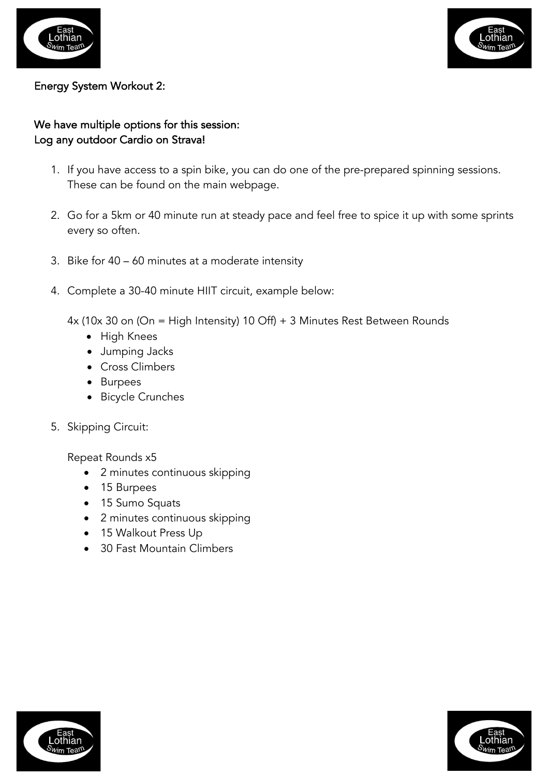



### Energy System Workout 2:

# We have multiple options for this session: Log any outdoor Cardio on Strava!

- 1. If you have access to a spin bike, you can do one of the pre-prepared spinning sessions. These can be found on the main webpage.
- 2. Go for a 5km or 40 minute run at steady pace and feel free to spice it up with some sprints every so often.
- 3. Bike for 40 60 minutes at a moderate intensity
- 4. Complete a 30-40 minute HIIT circuit, example below:

4x (10x 30 on (On = High Intensity) 10 Off) + 3 Minutes Rest Between Rounds

- High Knees
- Jumping Jacks
- Cross Climbers
- Burpees
- Bicycle Crunches
- 5. Skipping Circuit:

Repeat Rounds x5

- 2 minutes continuous skipping
- 15 Burpees
- 15 Sumo Squats
- 2 minutes continuous skipping
- 15 Walkout Press Up
- 30 Fast Mountain Climbers



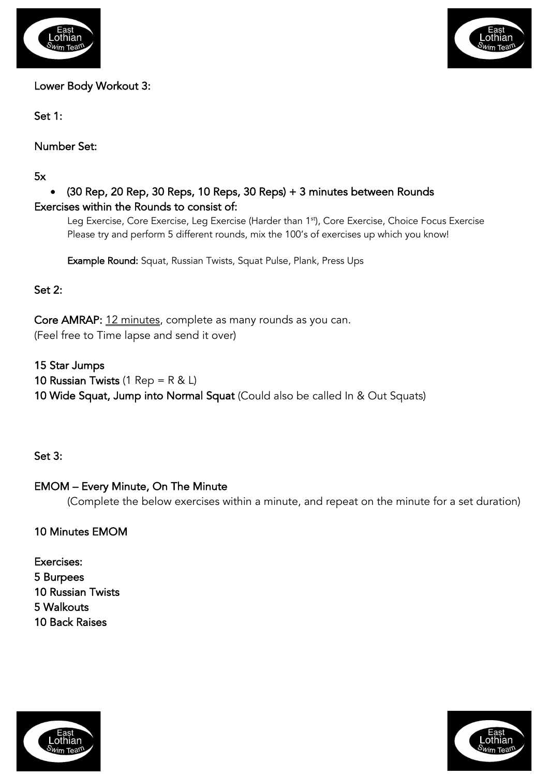



Lower Body Workout 3:

Set 1:

Number Set:

5x

# • (30 Rep, 20 Rep, 30 Reps, 10 Reps, 30 Reps) + 3 minutes between Rounds Exercises within the Rounds to consist of:

Leg Exercise, Core Exercise, Leg Exercise (Harder than 1<sup>st</sup>), Core Exercise, Choice Focus Exercise Please try and perform 5 different rounds, mix the 100's of exercises up which you know!

Example Round: Squat, Russian Twists, Squat Pulse, Plank, Press Ups

# Set 2:

Core AMRAP: 12 minutes, complete as many rounds as you can. (Feel free to Time lapse and send it over)

15 Star Jumps 10 Russian Twists (1 Rep =  $R < L$ ) 10 Wide Squat, Jump into Normal Squat (Could also be called In & Out Squats)

Set 3:

# EMOM – Every Minute, On The Minute

(Complete the below exercises within a minute, and repeat on the minute for a set duration)

10 Minutes EMOM

Exercises: 5 Burpees 10 Russian Twists 5 Walkouts 10 Back Raises



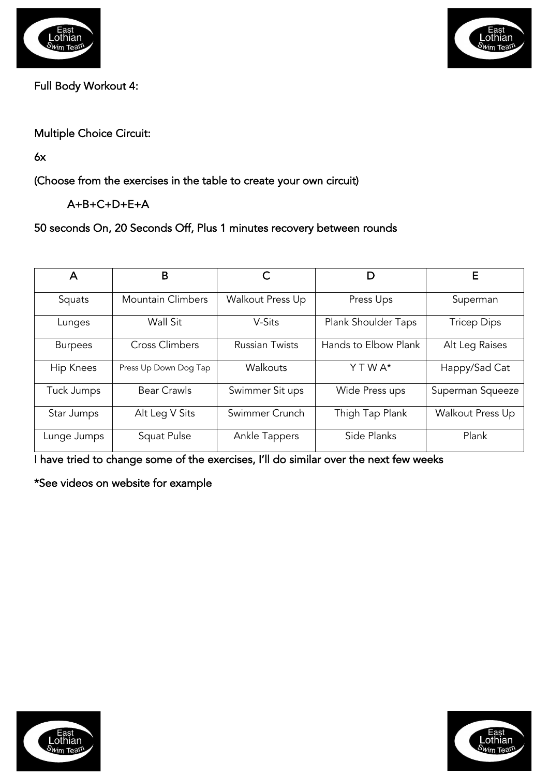



Full Body Workout 4:

Multiple Choice Circuit:

6x

(Choose from the exercises in the table to create your own circuit)

A+B+C+D+E+A

50 seconds On, 20 Seconds Off, Plus 1 minutes recovery between rounds

| Α                | B                        |                       |                      | F                  |
|------------------|--------------------------|-----------------------|----------------------|--------------------|
| Squats           | <b>Mountain Climbers</b> | Walkout Press Up      | Press Ups            | Superman           |
| Lunges           | Wall Sit                 | V-Sits                | Plank Shoulder Taps  | <b>Tricep Dips</b> |
| <b>Burpees</b>   | <b>Cross Climbers</b>    | <b>Russian Twists</b> | Hands to Elbow Plank | Alt Leg Raises     |
| <b>Hip Knees</b> | Press Up Down Dog Tap    | Walkouts              | Y T W A*             | Happy/Sad Cat      |
| Tuck Jumps       | <b>Bear Crawls</b>       | Swimmer Sit ups       | Wide Press ups       | Superman Squeeze   |
| Star Jumps       | Alt Leg V Sits           | Swimmer Crunch        | Thigh Tap Plank      | Walkout Press Up   |
| Lunge Jumps      | Squat Pulse              | Ankle Tappers         | Side Planks          | Plank              |

I have tried to change some of the exercises, I'll do similar over the next few weeks

\*See videos on website for example



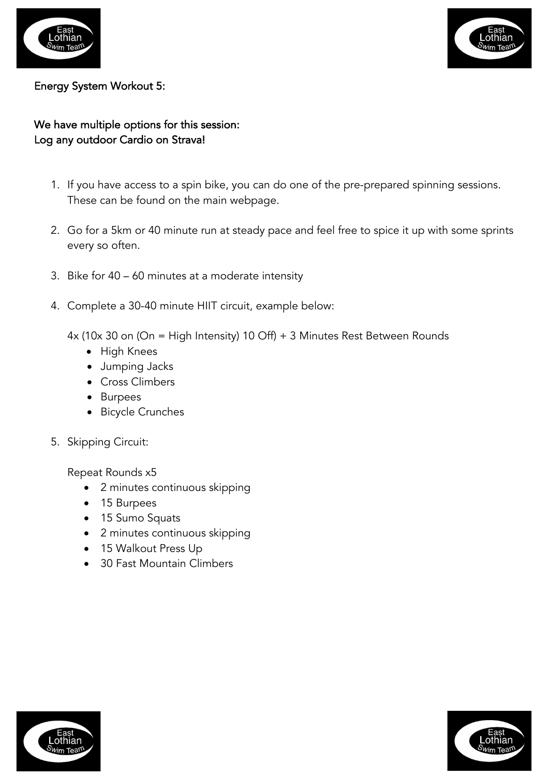



#### Energy System Workout 5:

# We have multiple options for this session: Log any outdoor Cardio on Strava!

- 1. If you have access to a spin bike, you can do one of the pre-prepared spinning sessions. These can be found on the main webpage.
- 2. Go for a 5km or 40 minute run at steady pace and feel free to spice it up with some sprints every so often.
- 3. Bike for 40 60 minutes at a moderate intensity
- 4. Complete a 30-40 minute HIIT circuit, example below:
	- 4x (10x 30 on (On = High Intensity) 10 Off) + 3 Minutes Rest Between Rounds
		- High Knees
		- Jumping Jacks
		- Cross Climbers
		- Burpees
		- Bicycle Crunches
- 5. Skipping Circuit:

Repeat Rounds x5

- 2 minutes continuous skipping
- 15 Burpees
- 15 Sumo Squats
- 2 minutes continuous skipping
- 15 Walkout Press Up
- 30 Fast Mountain Climbers